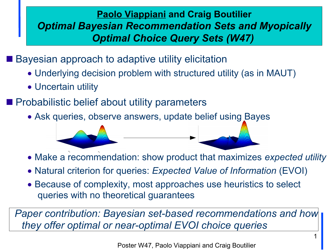### **Paolo Viappiani and Craig Boutilier** *Optimal Bayesian Recommendation Sets and Myopically Optimal Choice Query Sets (W47)*

■ Bayesian approach to adaptive utility elicitation

- Underlying decision problem with structured utility (as in MAUT)
- Uncertain utility
- **Probabilistic belief about utility parameters** 
	- Ask queries, observe answers, update belief using Bayes

- Make a recommendation: show product that maximizes *expected utility*
- Natural criterion for queries: *Expected Value of Information* (EVOI)
- Because of complexity, most approaches use heuristics to select queries with no theoretical guarantees

*Paper contribution: Bayesian set-based recommendations and how they offer optimal or near-optimal EVOI choice queries*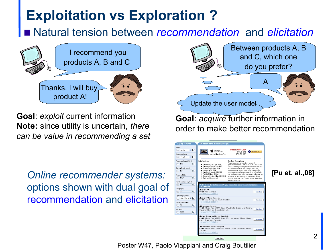# **Exploitation vs Exploration ?**

Natural tension between *recommendation* and *elicitation*



**Goal**: *exploit* current information **Note:** since utility is uncertain, *there can be value in recommending a set* 

*Online recommender systems:* options shown with dual goal of recommendation and elicitation





Poster W47, Paolo Viappiani and Craig Boutilier

Next Step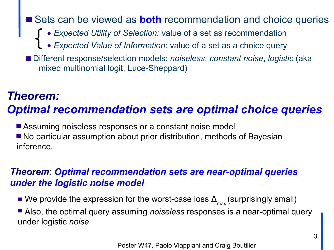Sets can be viewed as **both** recommendation and choice queries ● *Expected Utility of Selection:* value of a set as recommendation ● *Expected Value of Information:* value of a set as a choice query ■ Different response/selection models: *noiseless*, *constant noise*, *logistic* (aka mixed multinomial logit, Luce-Sheppard)

### *Theorem:*

### *Optimal recommendation sets are optimal choice queries*

■ Assuming noiseless responses or a constant noise model ■ No particular assumption about prior distribution, methods of Bayesian inference.

#### *Theorem*: *Optimal recommendation sets are near-optimal queries under the logistic noise model*

■ We provide the expression for the worst-case loss  $\Delta_{\text{max}}$  (surprisingly small)

■ Also, the optimal query assuming *noiseless* responses is a near-optimal query under logistic *noise*